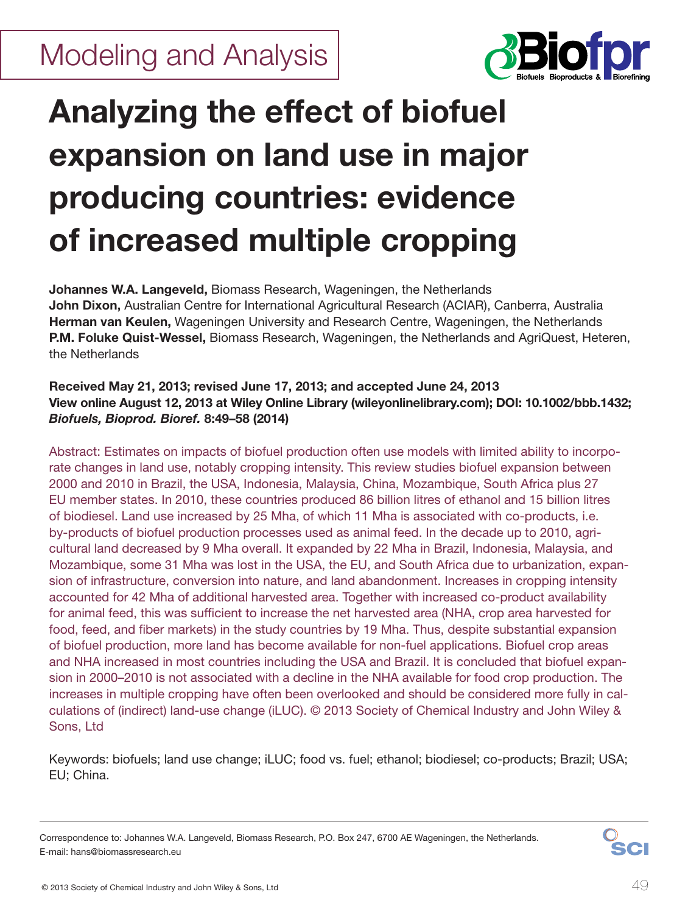

# **Analyzing the effect of biofuel expansion on land use in major producing countries: evidence of increased multiple cropping**

**Johannes W.A. Langeveld,** Biomass Research, Wageningen, the Netherlands **John Dixon,** Australian Centre for International Agricultural Research (ACIAR), Canberra, Australia **Herman van Keulen,** Wageningen University and Research Centre, Wageningen, the Netherlands **P.M. Foluke Quist-Wessel,** Biomass Research, Wageningen, the Netherlands and AgriQuest, Heteren, the Netherlands

## **Received May 21, 2013; revised June 17, 2013; and accepted June 24, 2013 View online August 12, 2013 at Wiley Online Library (wileyonlinelibrary.com); DOI: 10.1002/bbb.1432;**  *Biofuels, Bioprod. Bioref.* **8:49–58 (2014)**

Abstract: Estimates on impacts of biofuel production often use models with limited ability to incorporate changes in land use, notably cropping intensity. This review studies biofuel expansion between 2000 and 2010 in Brazil, the USA, Indonesia, Malaysia, China, Mozambique, South Africa plus 27 EU member states. In 2010, these countries produced 86 billion litres of ethanol and 15 billion litres of biodiesel. Land use increased by 25 Mha, of which 11 Mha is associated with co-products, i.e. by-products of biofuel production processes used as animal feed. In the decade up to 2010, agricultural land decreased by 9 Mha overall. It expanded by 22 Mha in Brazil, Indonesia, Malaysia, and Mozambique, some 31 Mha was lost in the USA, the EU, and South Africa due to urbanization, expansion of infrastructure, conversion into nature, and land abandonment. Increases in cropping intensity accounted for 42 Mha of additional harvested area. Together with increased co-product availability for animal feed, this was sufficient to increase the net harvested area (NHA, crop area harvested for food, feed, and fiber markets) in the study countries by 19 Mha. Thus, despite substantial expansion of biofuel production, more land has become available for non-fuel applications. Biofuel crop areas and NHA increased in most countries including the USA and Brazil. It is concluded that biofuel expansion in 2000–2010 is not associated with a decline in the NHA available for food crop production. The increases in multiple cropping have often been overlooked and should be considered more fully in calculations of (indirect) land-use change (iLUC). © 2013 Society of Chemical Industry and John Wiley & Sons, Ltd

Keywords: biofuels; land use change; iLUC; food vs. fuel; ethanol; biodiesel; co-products; Brazil; USA; EU; China.

Correspondence to: Johannes W.A. Langeveld, Biomass Research, P.O. Box 247, 6700 AE Wageningen, the Netherlands. E-mail: hans@biomassresearch.eu

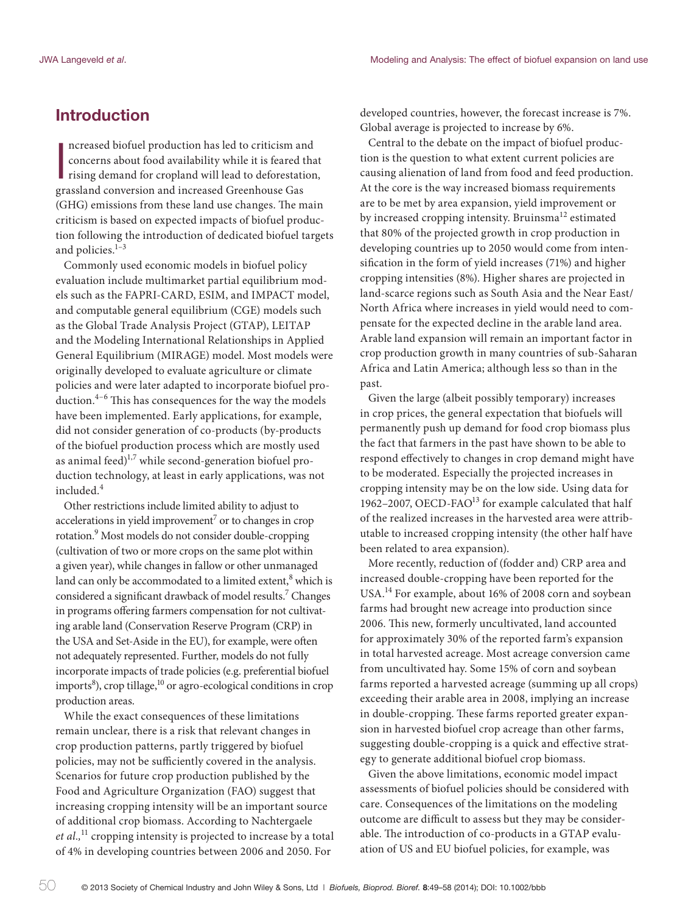# **Introduction**

Increased biotuer production has led to criticism and<br>concerns about food availability while it is feared t<br>rising demand for cropland will lead to deforestati<br>grassland conversion and increased Greenhouse Gas ncreased biofuel production has led to criticism and concerns about food availability while it is feared that rising demand for cropland will lead to deforestation, (GHG) emissions from these land use changes. The main criticism is based on expected impacts of biofuel production following the introduction of dedicated biofuel targets and policies.<sup>1-3</sup>

Commonly used economic models in biofuel policy evaluation include multimarket partial equilibrium models such as the FAPRI-CARD, ESIM, and IMPACT model, and computable general equilibrium (CGE) models such as the Global Trade Analysis Project (GTAP), LEITAP and the Modeling International Relationships in Applied General Equilibrium (MIRAGE) model. Most models were originally developed to evaluate agriculture or climate policies and were later adapted to incorporate biofuel production. $4-6$  This has consequences for the way the models have been implemented. Early applications, for example, did not consider generation of co-products (by-products of the biofuel production process which are mostly used as animal feed) $1/7$  while second-generation biofuel production technology, at least in early applications, was not included.<sup>4</sup>

Other restrictions include limited ability to adjust to accelerations in yield improvement<sup>7</sup> or to changes in crop rotation.<sup>9</sup> Most models do not consider double-cropping (cultivation of two or more crops on the same plot within a given year), while changes in fallow or other unmanaged land can only be accommodated to a limited extent,<sup>8</sup> which is considered a significant drawback of model results.<sup>7</sup> Changes in programs offering farmers compensation for not cultivating arable land (Conservation Reserve Program (CRP) in the USA and Set-Aside in the EU), for example, were often not adequately represented. Further, models do not fully incorporate impacts of trade policies (e.g. preferential biofuel imports<sup>8</sup>), crop tillage,<sup>10</sup> or agro-ecological conditions in crop production areas.

While the exact consequences of these limitations remain unclear, there is a risk that relevant changes in crop production patterns, partly triggered by biofuel policies, may not be sufficiently covered in the analysis. Scenarios for future crop production published by the Food and Agriculture Organization (FAO) suggest that increasing cropping intensity will be an important source of additional crop biomass. According to Nachtergaele *et al.,*11 cropping intensity is projected to increase by a total of 4% in developing countries between 2006 and 2050. For

 developed countries, however, the forecast increase is 7%. Global average is projected to increase by 6%.

Central to the debate on the impact of biofuel production is the question to what extent current policies are causing alienation of land from food and feed production. At the core is the way increased biomass requirements are to be met by area expansion, yield improvement or by increased cropping intensity. Bruinsma<sup>12</sup> estimated that 80% of the projected growth in crop production in developing countries up to 2050 would come from intensification in the form of yield increases (71%) and higher cropping intensities (8%). Higher shares are projected in land-scarce regions such as South Asia and the Near East/ North Africa where increases in yield would need to compensate for the expected decline in the arable land area. Arable land expansion will remain an important factor in crop production growth in many countries of sub-Saharan Africa and Latin America; although less so than in the past.

Given the large (albeit possibly temporary) increases in crop prices, the general expectation that biofuels will permanently push up demand for food crop biomass plus the fact that farmers in the past have shown to be able to respond effectively to changes in crop demand might have to be moderated. Especially the projected increases in cropping intensity may be on the low side. Using data for 1962–2007, OECD-FAO<sup>13</sup> for example calculated that half of the realized increases in the harvested area were attributable to increased cropping intensity (the other half have been related to area expansion).

More recently, reduction of (fodder and) CRP area and increased double-cropping have been reported for the USA.14 For example, about 16% of 2008 corn and soybean farms had brought new acreage into production since 2006. This new, formerly uncultivated, land accounted for approximately 30% of the reported farm's expansion in total harvested acreage. Most acreage conversion came from uncultivated hay. Some 15% of corn and soybean farms reported a harvested acreage (summing up all crops) exceeding their arable area in 2008, implying an increase in double-cropping. These farms reported greater expansion in harvested biofuel crop acreage than other farms, suggesting double-cropping is a quick and effective strategy to generate additional biofuel crop biomass.

Given the above limitations, economic model impact assessments of biofuel policies should be considered with care. Consequences of the limitations on the modeling outcome are difficult to assess but they may be considerable. The introduction of co-products in a GTAP evaluation of US and EU biofuel policies, for example, was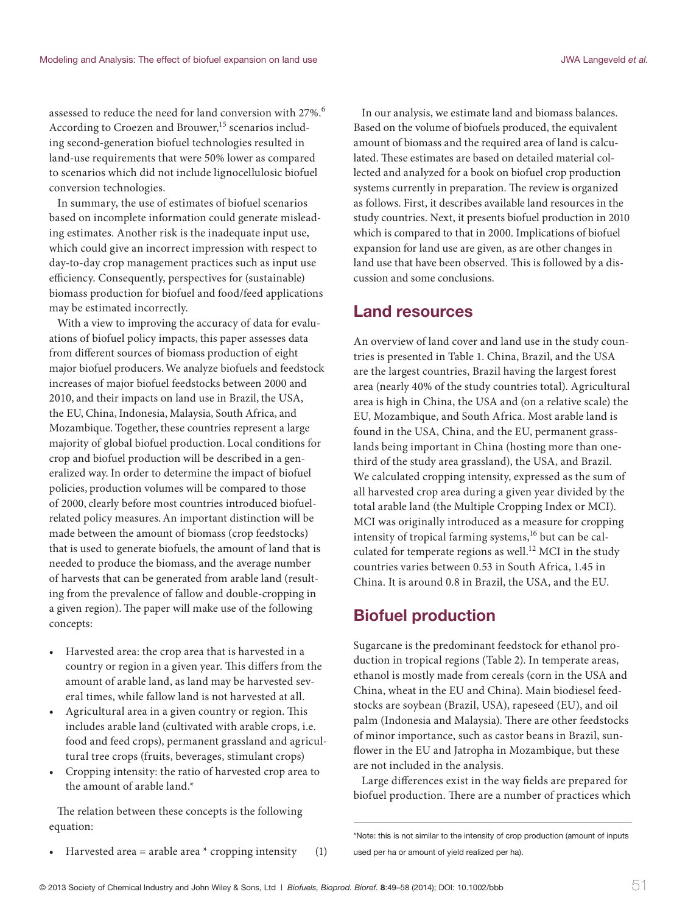assessed to reduce the need for land conversion with 27%.<sup>6</sup> According to Croezen and Brouwer,<sup>15</sup> scenarios including second-generation biofuel technologies resulted in land-use requirements that were 50% lower as compared to scenarios which did not include lignocellulosic biofuel conversion technologies.

In summary, the use of estimates of biofuel scenarios based on incomplete information could generate misleading estimates. Another risk is the inadequate input use, which could give an incorrect impression with respect to day-to-day crop management practices such as input use efficiency. Consequently, perspectives for (sustainable) biomass production for biofuel and food/feed applications may be estimated incorrectly.

With a view to improving the accuracy of data for evaluations of biofuel policy impacts, this paper assesses data from different sources of biomass production of eight major biofuel producers. We analyze biofuels and feedstock increases of major biofuel feedstocks between 2000 and 2010, and their impacts on land use in Brazil, the USA, the EU, China, Indonesia, Malaysia, South Africa, and Mozambique. Together, these countries represent a large majority of global biofuel production. Local conditions for crop and biofuel production will be described in a generalized way. In order to determine the impact of biofuel policies, production volumes will be compared to those of 2000, clearly before most countries introduced biofuelrelated policy measures. An important distinction will be made between the amount of biomass (crop feedstocks) that is used to generate biofuels, the amount of land that is needed to produce the biomass, and the average number of harvests that can be generated from arable land (resulting from the prevalence of fallow and double-cropping in a given region). The paper will make use of the following concepts:

- Harvested area: the crop area that is harvested in a country or region in a given year. This differs from the amount of arable land, as land may be harvested several times, while fallow land is not harvested at all.
- Agricultural area in a given country or region. This includes arable land (cultivated with arable crops, i.e. food and feed crops), permanent grassland and agricultural tree crops (fruits, beverages, stimulant crops)
- Cropping intensity: the ratio of harvested crop area to the amount of arable land.\*

The relation between these concepts is the following equation:

Harvested area = arable area  $*$  cropping intensity (1)

In our analysis, we estimate land and biomass balances. Based on the volume of biofuels produced, the equivalent amount of biomass and the required area of land is calculated. These estimates are based on detailed material collected and analyzed for a book on biofuel crop production systems currently in preparation. The review is organized as follows. First, it describes available land resources in the study countries. Next, it presents biofuel production in 2010 which is compared to that in 2000. Implications of biofuel expansion for land use are given, as are other changes in land use that have been observed. This is followed by a discussion and some conclusions.

## **Land resources**

An overview of land cover and land use in the study countries is presented in Table 1. China, Brazil, and the USA are the largest countries, Brazil having the largest forest area (nearly 40% of the study countries total). Agricultural area is high in China, the USA and (on a relative scale) the EU, Mozambique, and South Africa. Most arable land is found in the USA, China, and the EU, permanent grasslands being important in China (hosting more than onethird of the study area grassland), the USA, and Brazil. We calculated cropping intensity, expressed as the sum of all harvested crop area during a given year divided by the total arable land (the Multiple Cropping Index or MCI). MCI was originally introduced as a measure for cropping intensity of tropical farming systems,<sup>16</sup> but can be calculated for temperate regions as well.<sup>12</sup> MCI in the study countries varies between 0.53 in South Africa, 1.45 in China. It is around 0.8 in Brazil, the USA, and the EU.

# **Biofuel production**

Sugarcane is the predominant feedstock for ethanol production in tropical regions (Table 2). In temperate areas, ethanol is mostly made from cereals (corn in the USA and China, wheat in the EU and China). Main biodiesel feedstocks are soybean (Brazil, USA), rapeseed (EU), and oil palm (Indonesia and Malaysia). There are other feedstocks of minor importance, such as castor beans in Brazil, sunflower in the EU and Jatropha in Mozambique, but these are not included in the analysis.

Large differences exist in the way fields are prepared for biofuel production. There are a number of practices which

<sup>\*</sup>Note: this is not similar to the intensity of crop production (amount of inputs used per ha or amount of yield realized per ha).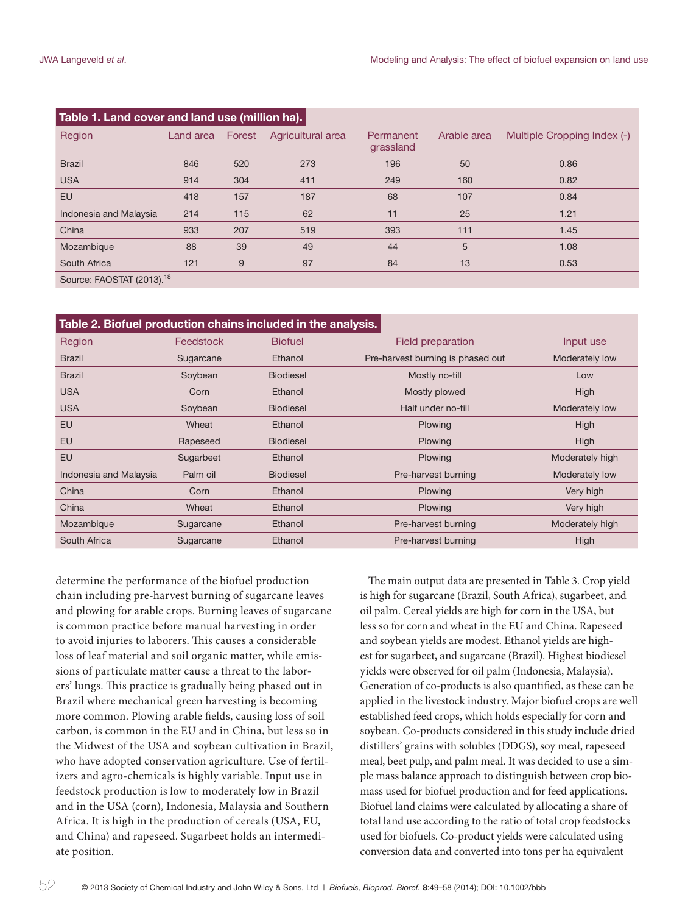| Table 1. Land cover and land use (million ha). |           |        |                   |                        |             |                             |  |  |
|------------------------------------------------|-----------|--------|-------------------|------------------------|-------------|-----------------------------|--|--|
| Region                                         | Land area | Forest | Agricultural area | Permanent<br>grassland | Arable area | Multiple Cropping Index (-) |  |  |
| <b>Brazil</b>                                  | 846       | 520    | 273               | 196                    | 50          | 0.86                        |  |  |
| <b>USA</b>                                     | 914       | 304    | 411               | 249                    | 160         | 0.82                        |  |  |
| EU                                             | 418       | 157    | 187               | 68                     | 107         | 0.84                        |  |  |
| Indonesia and Malaysia                         | 214       | 115    | 62                | 11                     | 25          | 1.21                        |  |  |
| China                                          | 933       | 207    | 519               | 393                    | 111         | 1.45                        |  |  |
| Mozambique                                     | 88        | 39     | 49                | 44                     | 5           | 1.08                        |  |  |
| South Africa                                   | 121       | 9      | 97                | 84                     | 13          | 0.53                        |  |  |
| Source: FAOSTAT (2013). <sup>18</sup>          |           |        |                   |                        |             |                             |  |  |

## **Table 2. Biofuel production chains included in the analysis.**

| Region                 | <b>Feedstock</b> | <b>Biofuel</b>   | Field preparation                 | Input use       |
|------------------------|------------------|------------------|-----------------------------------|-----------------|
| <b>Brazil</b>          | Sugarcane        | Ethanol          | Pre-harvest burning is phased out | Moderately low  |
| <b>Brazil</b>          | Soybean          | <b>Biodiesel</b> | Mostly no-till                    | Low             |
| <b>USA</b>             | Corn             | Ethanol          | Mostly plowed                     | <b>High</b>     |
| <b>USA</b>             | Soybean          | <b>Biodiesel</b> | Half under no-till                | Moderately low  |
| <b>EU</b>              | Wheat            | Ethanol          | Plowing                           | High            |
| EU                     | Rapeseed         | <b>Biodiesel</b> | Plowing                           | High            |
| EU                     | Sugarbeet        | Ethanol          | Plowing                           | Moderately high |
| Indonesia and Malaysia | Palm oil         | <b>Biodiesel</b> | Pre-harvest burning               | Moderately low  |
| China                  | Corn             | Ethanol          | Plowing                           | Very high       |
| China                  | Wheat            | Ethanol          | Plowing                           | Very high       |
| Mozambique             | Sugarcane        | Ethanol          | Pre-harvest burning               | Moderately high |
| South Africa           | Sugarcane        | Ethanol          | Pre-harvest burning               | High            |

determine the performance of the biofuel production chain including pre-harvest burning of sugarcane leaves and plowing for arable crops. Burning leaves of sugarcane is common practice before manual harvesting in order to avoid injuries to laborers. This causes a considerable loss of leaf material and soil organic matter, while emissions of particulate matter cause a threat to the laborers' lungs. This practice is gradually being phased out in Brazil where mechanical green harvesting is becoming more common. Plowing arable fields, causing loss of soil carbon, is common in the EU and in China, but less so in the Midwest of the USA and soybean cultivation in Brazil, who have adopted conservation agriculture. Use of fertilizers and agro-chemicals is highly variable. Input use in feedstock production is low to moderately low in Brazil and in the USA (corn), Indonesia, Malaysia and Southern Africa. It is high in the production of cereals (USA, EU, and China) and rapeseed. Sugarbeet holds an intermediate position.

The main output data are presented in Table 3. Crop yield is high for sugarcane (Brazil, South Africa), sugarbeet, and oil palm. Cereal yields are high for corn in the USA, but less so for corn and wheat in the EU and China. Rapeseed and soybean yields are modest. Ethanol yields are highest for sugarbeet, and sugarcane (Brazil). Highest biodiesel yields were observed for oil palm (Indonesia, Malaysia). Generation of co-products is also quantified, as these can be applied in the livestock industry. Major biofuel crops are well established feed crops, which holds especially for corn and soybean. Co-products considered in this study include dried distillers' grains with solubles (DDGS), soy meal, rapeseed meal, beet pulp, and palm meal. It was decided to use a simple mass balance approach to distinguish between crop biomass used for biofuel production and for feed applications. Biofuel land claims were calculated by allocating a share of total land use according to the ratio of total crop feedstocks used for biofuels. Co-product yields were calculated using conversion data and converted into tons per ha equivalent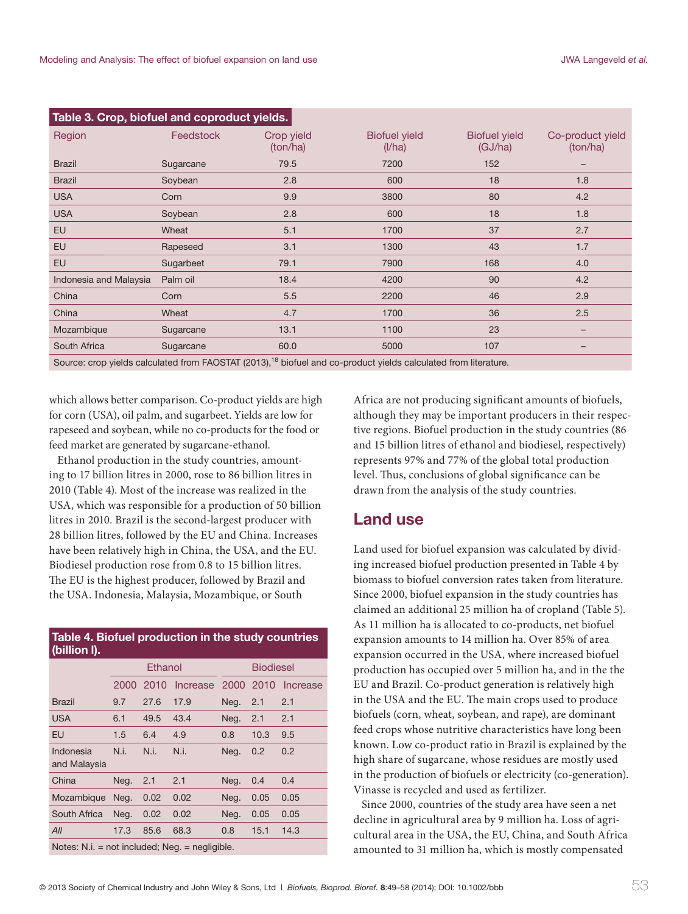| Table 3. Crop, biofuel and coproduct yields. |           |                        |                                       |                                 |                              |  |  |  |
|----------------------------------------------|-----------|------------------------|---------------------------------------|---------------------------------|------------------------------|--|--|--|
| Region                                       | Feedstock | Crop yield<br>(ton/ha) | <b>Biofuel yield</b><br>$\frac{1}{h}$ | <b>Biofuel yield</b><br>(GJ/ha) | Co-product yield<br>(ton/ha) |  |  |  |
| <b>Brazil</b>                                | Sugarcane | 79.5                   | 7200                                  | 152                             | -                            |  |  |  |
| <b>Brazil</b>                                | Soybean   | 2.8                    | 600                                   | 18                              | 1.8                          |  |  |  |
| <b>USA</b>                                   | Corn      | 9.9                    | 3800                                  | 80                              | 4.2                          |  |  |  |
| <b>USA</b>                                   | Soybean   | 2.8                    | 600                                   | 18                              | 1.8                          |  |  |  |
| EU                                           | Wheat     | 5.1                    | 1700                                  | 37                              | 2.7                          |  |  |  |
| EU                                           | Rapeseed  | 3.1                    | 1300                                  | 43                              | 1.7                          |  |  |  |
| <b>EU</b>                                    | Sugarbeet | 79.1                   | 7900                                  | 168                             | 4.0                          |  |  |  |
| Indonesia and Malaysia                       | Palm oil  | 18.4                   | 4200                                  | 90                              | 4.2                          |  |  |  |
| China                                        | Corn      | 5.5                    | 2200                                  | 46                              | 2.9                          |  |  |  |
| China                                        | Wheat     | 4.7                    | 1700                                  | 36                              | 2.5                          |  |  |  |
| Mozambique                                   | Sugarcane | 13.1                   | 1100                                  | 23                              | -                            |  |  |  |
| South Africa                                 | Sugarcane | 60.0                   | 5000                                  | 107                             |                              |  |  |  |

Source: crop yields calculated from FAOSTAT (2013),<sup>18</sup> biofuel and co-product yields calculated from literature.

which allows better comparison. Co-product yields are high for corn (USA), oil palm, and sugarbeet. Yields are low for rapeseed and soybean, while no co-products for the food or feed market are generated by sugarcane-ethanol.

Ethanol production in the study countries, amounting to 17 billion litres in 2000, rose to 86 billion litres in 2010 (Table 4). Most of the increase was realized in the USA, which was responsible for a production of 50 billion litres in 2010. Brazil is the second-largest producer with 28 billion litres, followed by the EU and China. Increases have been relatively high in China, the USA, and the EU. Biodiesel production rose from 0.8 to 15 billion litres. The EU is the highest producer, followed by Brazil and the USA. Indonesia, Malaysia, Mozambique, or South

**Table 4. Biofuel production in the study countries** 

| .as.o  Biotao: proaaction  the otaqy countries<br>(billion I). |      |           |                 |                  |           |          |  |
|----------------------------------------------------------------|------|-----------|-----------------|------------------|-----------|----------|--|
|                                                                |      | Ethanol   |                 | <b>Biodiesel</b> |           |          |  |
|                                                                |      | 2000 2010 | <b>Increase</b> |                  | 2000 2010 | Increase |  |
| <b>Brazil</b>                                                  | 9.7  | 27.6      | 17.9            | Neg.             | 2.1       | 2.1      |  |
| <b>USA</b>                                                     | 6.1  | 49.5      | 43.4            | Neg.             | 2.1       | 2.1      |  |
| EU                                                             | 1.5  | 6.4       | 4.9             | 0.8              | 10.3      | 9.5      |  |
| Indonesia<br>and Malaysia                                      | N.i. | N.i.      | N.i.            | Neg.             | 0.2       | 0.2      |  |
| China                                                          | Neg. | 2.1       | 2.1             | Neg.             | 0.4       | 0.4      |  |
| Mozambique                                                     | Neg. | 0.02      | 0.02            | Neg.             | 0.05      | 0.05     |  |
| South Africa                                                   | Neg. | 0.02      | 0.02            | Neg.             | 0.05      | 0.05     |  |
| All                                                            | 17.3 | 85.6      | 68.3            | 0.8              | 15.1      | 14.3     |  |
| $\cdots$<br>$\cdots$                                           |      |           |                 |                  |           |          |  |

Notes: N.i. = not included; Neg. = negligible.

Africa are not producing significant amounts of biofuels, although they may be important producers in their respective regions. Biofuel production in the study countries (86 and 15 billion litres of ethanol and biodiesel, respectively) represents 97% and 77% of the global total production level. Thus, conclusions of global significance can be drawn from the analysis of the study countries.

## **Land use**

Land used for biofuel expansion was calculated by dividing increased biofuel production presented in Table 4 by biomass to biofuel conversion rates taken from literature. Since 2000, biofuel expansion in the study countries has claimed an additional 25 million ha of cropland (Table 5). As 11 million ha is allocated to co-products, net biofuel expansion amounts to 14 million ha. Over 85% of area expansion occurred in the USA, where increased biofuel production has occupied over 5 million ha, and in the the EU and Brazil. Co-product generation is relatively high in the USA and the EU. The main crops used to produce biofuels (corn, wheat, soybean, and rape), are dominant feed crops whose nutritive characteristics have long been known. Low co-product ratio in Brazil is explained by the high share of sugarcane, whose residues are mostly used in the production of biofuels or electricity (co-generation). Vinasse is recycled and used as fertilizer.

Since 2000, countries of the study area have seen a net decline in agricultural area by 9 million ha. Loss of agricultural area in the USA, the EU, China, and South Africa amounted to 31 million ha, which is mostly compensated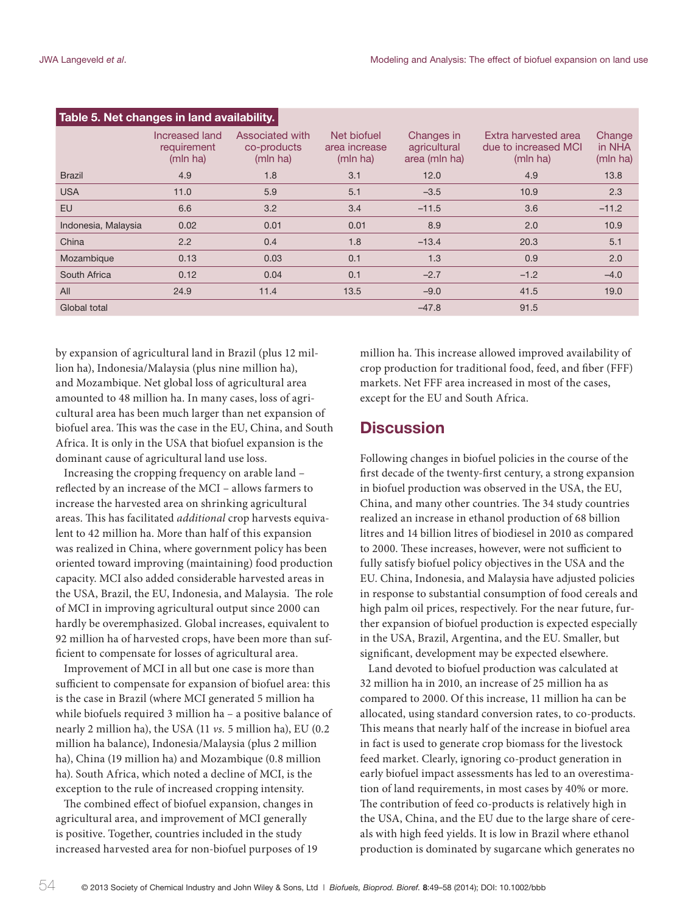| Table 5. Net changes in land availability. |                                           |                                            |                                          |                                             |                                                          |                              |  |  |  |
|--------------------------------------------|-------------------------------------------|--------------------------------------------|------------------------------------------|---------------------------------------------|----------------------------------------------------------|------------------------------|--|--|--|
|                                            | Increased land<br>requirement<br>(mln ha) | Associated with<br>co-products<br>(mln ha) | Net biofuel<br>area increase<br>(mln ha) | Changes in<br>agricultural<br>area (mln ha) | Extra harvested area<br>due to increased MCI<br>(mln ha) | Change<br>in NHA<br>(mln ha) |  |  |  |
| <b>Brazil</b>                              | 4.9                                       | 1.8                                        | 3.1                                      | 12.0                                        | 4.9                                                      | 13.8                         |  |  |  |
| <b>USA</b>                                 | 11.0                                      | 5.9                                        | 5.1                                      | $-3.5$                                      | 10.9                                                     | 2.3                          |  |  |  |
| EU                                         | 6.6                                       | 3.2                                        | 3.4                                      | $-11.5$                                     | 3.6                                                      | $-11.2$                      |  |  |  |
| Indonesia, Malaysia                        | 0.02                                      | 0.01                                       | 0.01                                     | 8.9                                         | 2.0                                                      | 10.9                         |  |  |  |
| China                                      | 2.2                                       | 0.4                                        | 1.8                                      | $-13.4$                                     | 20.3                                                     | 5.1                          |  |  |  |
| Mozambique                                 | 0.13                                      | 0.03                                       | 0.1                                      | 1.3                                         | 0.9                                                      | 2.0                          |  |  |  |
| South Africa                               | 0.12                                      | 0.04                                       | 0.1                                      | $-2.7$                                      | $-1.2$                                                   | $-4.0$                       |  |  |  |
| All                                        | 24.9                                      | 11.4                                       | 13.5                                     | $-9.0$                                      | 41.5                                                     | 19.0                         |  |  |  |
| Global total                               |                                           |                                            |                                          | $-47.8$                                     | 91.5                                                     |                              |  |  |  |

by expansion of agricultural land in Brazil (plus 12 million ha), Indonesia/Malaysia (plus nine million ha), and Mozambique. Net global loss of agricultural area amounted to 48 million ha. In many cases, loss of agricultural area has been much larger than net expansion of biofuel area. This was the case in the EU, China, and South Africa. It is only in the USA that biofuel expansion is the dominant cause of agricultural land use loss.

Increasing the cropping frequency on arable land – reflected by an increase of the MCI – allows farmers to increase the harvested area on shrinking agricultural areas. This has facilitated *additional* crop harvests equivalent to 42 million ha. More than half of this expansion was realized in China, where government policy has been oriented toward improving (maintaining) food production capacity. MCI also added considerable harvested areas in the USA, Brazil, the EU, Indonesia, and Malaysia. The role of MCI in improving agricultural output since 2000 can hardly be overemphasized. Global increases, equivalent to 92 million ha of harvested crops, have been more than sufficient to compensate for losses of agricultural area.

Improvement of MCI in all but one case is more than sufficient to compensate for expansion of biofuel area: this is the case in Brazil (where MCI generated 5 million ha while biofuels required 3 million ha – a positive balance of nearly 2 million ha), the USA (11 *vs.* 5 million ha), EU (0.2 million ha balance), Indonesia/Malaysia (plus 2 million ha), China (19 million ha) and Mozambique (0.8 million ha). South Africa, which noted a decline of MCI, is the exception to the rule of increased cropping intensity.

The combined effect of biofuel expansion, changes in agricultural area, and improvement of MCI generally is positive. Together, countries included in the study increased harvested area for non-biofuel purposes of 19 million ha. This increase allowed improved availability of crop production for traditional food, feed, and fiber (FFF) markets. Net FFF area increased in most of the cases, except for the EU and South Africa.

## **Discussion**

Following changes in biofuel policies in the course of the first decade of the twenty-first century, a strong expansion in biofuel production was observed in the USA, the EU, China, and many other countries. The 34 study countries realized an increase in ethanol production of 68 billion litres and 14 billion litres of biodiesel in 2010 as compared to 2000. These increases, however, were not sufficient to fully satisfy biofuel policy objectives in the USA and the EU. China, Indonesia, and Malaysia have adjusted policies in response to substantial consumption of food cereals and high palm oil prices, respectively. For the near future, further expansion of biofuel production is expected especially in the USA, Brazil, Argentina, and the EU. Smaller, but significant, development may be expected elsewhere.

Land devoted to biofuel production was calculated at 32 million ha in 2010, an increase of 25 million ha as compared to 2000. Of this increase, 11 million ha can be allocated, using standard conversion rates, to co-products. This means that nearly half of the increase in biofuel area in fact is used to generate crop biomass for the livestock feed market. Clearly, ignoring co-product generation in early biofuel impact assessments has led to an overestimation of land requirements, in most cases by 40% or more. The contribution of feed co-products is relatively high in the USA, China, and the EU due to the large share of cereals with high feed yields. It is low in Brazil where ethanol production is dominated by sugarcane which generates no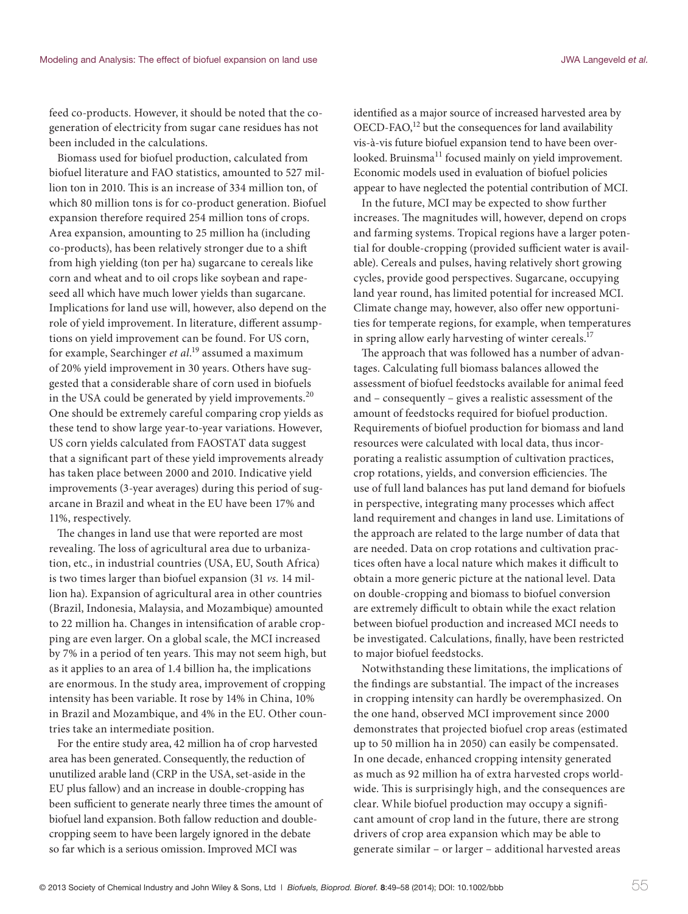feed co-products. However, it should be noted that the cogeneration of electricity from sugar cane residues has not been included in the calculations.

Biomass used for biofuel production, calculated from biofuel literature and FAO statistics, amounted to 527 million ton in 2010. This is an increase of 334 million ton, of which 80 million tons is for co-product generation. Biofuel expansion therefore required 254 million tons of crops. Area expansion, amounting to 25 million ha (including co-products), has been relatively stronger due to a shift from high yielding (ton per ha) sugarcane to cereals like corn and wheat and to oil crops like soybean and rapeseed all which have much lower yields than sugarcane. Implications for land use will, however, also depend on the role of yield improvement. In literature, different assumptions on yield improvement can be found. For US corn, for example, Searchinger *et al*. 19 assumed a maximum of 20% yield improvement in 30 years. Others have suggested that a considerable share of corn used in biofuels in the USA could be generated by yield improvements.<sup>20</sup> One should be extremely careful comparing crop yields as these tend to show large year-to-year variations. However, US corn yields calculated from FAOSTAT data suggest that a significant part of these yield improvements already has taken place between 2000 and 2010. Indicative yield improvements (3-year averages) during this period of sugarcane in Brazil and wheat in the EU have been 17% and 11%, respectively.

The changes in land use that were reported are most revealing. The loss of agricultural area due to urbanization, etc., in industrial countries (USA, EU, South Africa) is two times larger than biofuel expansion (31 *vs.* 14 million ha). Expansion of agricultural area in other countries (Brazil, Indonesia, Malaysia, and Mozambique) amounted to 22 million ha. Changes in intensification of arable cropping are even larger. On a global scale, the MCI increased by 7% in a period of ten years. This may not seem high, but as it applies to an area of 1.4 billion ha, the implications are enormous. In the study area, improvement of cropping intensity has been variable. It rose by 14% in China, 10% in Brazil and Mozambique, and 4% in the EU. Other countries take an intermediate position.

For the entire study area, 42 million ha of crop harvested area has been generated. Consequently, the reduction of unutilized arable land (CRP in the USA, set-aside in the EU plus fallow) and an increase in double-cropping has been sufficient to generate nearly three times the amount of biofuel land expansion. Both fallow reduction and doublecropping seem to have been largely ignored in the debate so far which is a serious omission. Improved MCI was

identified as a major source of increased harvested area by OECD-FAO,<sup>12</sup> but the consequences for land availability vis-à-vis future biofuel expansion tend to have been overlooked. Bruinsma<sup>11</sup> focused mainly on yield improvement. Economic models used in evaluation of biofuel policies appear to have neglected the potential contribution of MCI.

In the future, MCI may be expected to show further increases. The magnitudes will, however, depend on crops and farming systems. Tropical regions have a larger potential for double-cropping (provided sufficient water is available). Cereals and pulses, having relatively short growing cycles, provide good perspectives. Sugarcane, occupying land year round, has limited potential for increased MCI. Climate change may, however, also offer new opportunities for temperate regions, for example, when temperatures in spring allow early harvesting of winter cereals.<sup>17</sup>

The approach that was followed has a number of advantages. Calculating full biomass balances allowed the assessment of biofuel feedstocks available for animal feed and – consequently – gives a realistic assessment of the amount of feedstocks required for biofuel production. Requirements of biofuel production for biomass and land resources were calculated with local data, thus incorporating a realistic assumption of cultivation practices, crop rotations, yields, and conversion efficiencies. The use of full land balances has put land demand for biofuels in perspective, integrating many processes which affect land requirement and changes in land use. Limitations of the approach are related to the large number of data that are needed. Data on crop rotations and cultivation practices often have a local nature which makes it difficult to obtain a more generic picture at the national level. Data on double-cropping and biomass to biofuel conversion are extremely difficult to obtain while the exact relation between biofuel production and increased MCI needs to be investigated. Calculations, finally, have been restricted to major biofuel feedstocks.

Notwithstanding these limitations, the implications of the findings are substantial. The impact of the increases in cropping intensity can hardly be overemphasized. On the one hand, observed MCI improvement since 2000 demonstrates that projected biofuel crop areas (estimated up to 50 million ha in 2050) can easily be compensated. In one decade, enhanced cropping intensity generated as much as 92 million ha of extra harvested crops worldwide. This is surprisingly high, and the consequences are clear. While biofuel production may occupy a significant amount of crop land in the future, there are strong drivers of crop area expansion which may be able to generate similar – or larger – additional harvested areas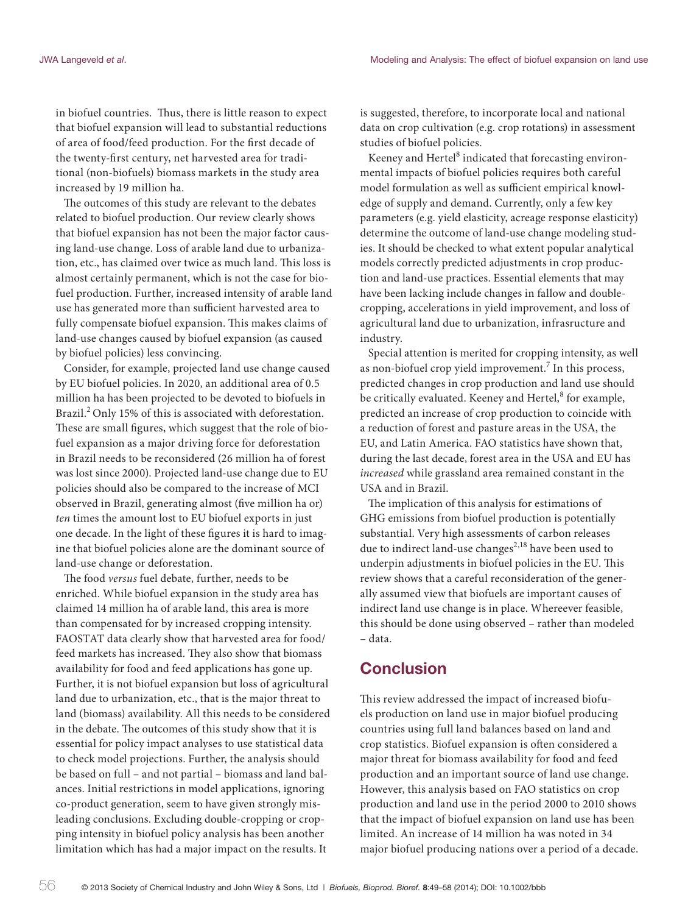in biofuel countries. Thus, there is little reason to expect that biofuel expansion will lead to substantial reductions of area of food/feed production. For the first decade of the twenty-first century, net harvested area for traditional (non-biofuels) biomass markets in the study area increased by 19 million ha.

The outcomes of this study are relevant to the debates related to biofuel production. Our review clearly shows that biofuel expansion has not been the major factor causing land-use change. Loss of arable land due to urbanization, etc., has claimed over twice as much land. This loss is almost certainly permanent, which is not the case for biofuel production. Further, increased intensity of arable land use has generated more than sufficient harvested area to fully compensate biofuel expansion. This makes claims of land-use changes caused by biofuel expansion (as caused by biofuel policies) less convincing.

Consider, for example, projected land use change caused by EU biofuel policies. In 2020, an additional area of 0.5 million ha has been projected to be devoted to biofuels in Brazil.<sup>2</sup> Only 15% of this is associated with deforestation. These are small figures, which suggest that the role of biofuel expansion as a major driving force for deforestation in Brazil needs to be reconsidered (26 million ha of forest was lost since 2000). Projected land-use change due to EU policies should also be compared to the increase of MCI observed in Brazil, generating almost (five million ha or) *ten* times the amount lost to EU biofuel exports in just one decade. In the light of these figures it is hard to imagine that biofuel policies alone are the dominant source of land-use change or deforestation.

The food *versus* fuel debate, further, needs to be enriched. While biofuel expansion in the study area has claimed 14 million ha of arable land, this area is more than compensated for by increased cropping intensity. FAOSTAT data clearly show that harvested area for food/ feed markets has increased. They also show that biomass availability for food and feed applications has gone up. Further, it is not biofuel expansion but loss of agricultural land due to urbanization, etc., that is the major threat to land (biomass) availability. All this needs to be considered in the debate. The outcomes of this study show that it is essential for policy impact analyses to use statistical data to check model projections. Further, the analysis should be based on full – and not partial – biomass and land balances. Initial restrictions in model applications, ignoring co-product generation, seem to have given strongly misleading conclusions. Excluding double-cropping or cropping intensity in biofuel policy analysis has been another limitation which has had a major impact on the results. It

is suggested, therefore, to incorporate local and national data on crop cultivation (e.g. crop rotations) in assessment studies of biofuel policies.

Keeney and Hertel<sup>8</sup> indicated that forecasting environmental impacts of biofuel policies requires both careful model formulation as well as sufficient empirical knowledge of supply and demand. Currently, only a few key parameters (e.g. yield elasticity, acreage response elasticity) determine the outcome of land-use change modeling studies. It should be checked to what extent popular analytical models correctly predicted adjustments in crop production and land-use practices. Essential elements that may have been lacking include changes in fallow and doublecropping, accelerations in yield improvement, and loss of agricultural land due to urbanization, infrasructure and industry.

Special attention is merited for cropping intensity, as well as non-biofuel crop yield improvement.<sup>7</sup> In this process, predicted changes in crop production and land use should be critically evaluated. Keeney and Hertel,<sup>8</sup> for example, predicted an increase of crop production to coincide with a reduction of forest and pasture areas in the USA, the EU, and Latin America. FAO statistics have shown that, during the last decade, forest area in the USA and EU has *increased* while grassland area remained constant in the USA and in Brazil.

The implication of this analysis for estimations of GHG emissions from biofuel production is potentially substantial. Very high assessments of carbon releases due to indirect land-use changes<sup>2,18</sup> have been used to underpin adjustments in biofuel policies in the EU. This review shows that a careful reconsideration of the generally assumed view that biofuels are important causes of indirect land use change is in place. Whereever feasible, this should be done using observed – rather than modeled – data.

## **Conclusion**

This review addressed the impact of increased biofuels production on land use in major biofuel producing countries using full land balances based on land and crop statistics. Biofuel expansion is often considered a major threat for biomass availability for food and feed production and an important source of land use change. However, this analysis based on FAO statistics on crop production and land use in the period 2000 to 2010 shows that the impact of biofuel expansion on land use has been limited. An increase of 14 million ha was noted in 34 major biofuel producing nations over a period of a decade.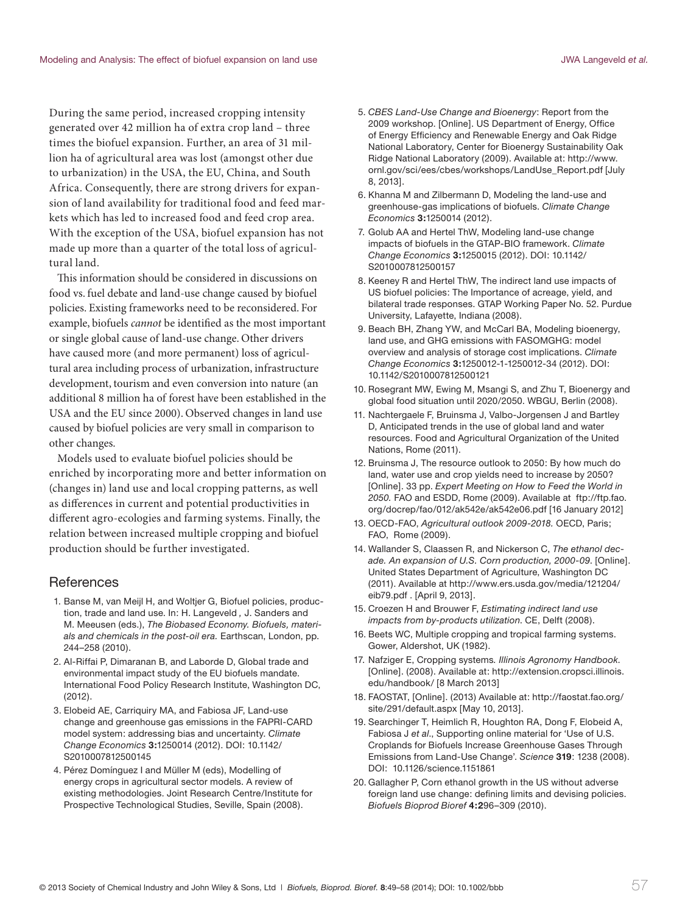During the same period, increased cropping intensity generated over 42 million ha of extra crop land – three times the biofuel expansion. Further, an area of 31 million ha of agricultural area was lost (amongst other due to urbanization) in the USA, the EU, China, and South Africa. Consequently, there are strong drivers for expansion of land availability for traditional food and feed markets which has led to increased food and feed crop area. With the exception of the USA, biofuel expansion has not made up more than a quarter of the total loss of agricultural land.

This information should be considered in discussions on food vs. fuel debate and land-use change caused by biofuel policies. Existing frameworks need to be reconsidered. For example, biofuels *cannot* be identified as the most important or single global cause of land-use change. Other drivers have caused more (and more permanent) loss of agricultural area including process of urbanization, infrastructure development, tourism and even conversion into nature (an additional 8 million ha of forest have been established in the USA and the EU since 2000). Observed changes in land use caused by biofuel policies are very small in comparison to other changes.

Models used to evaluate biofuel policies should be enriched by incorporating more and better information on (changes in) land use and local cropping patterns, as well as differences in current and potential productivities in different agro-ecologies and farming systems. Finally, the relation between increased multiple cropping and biofuel production should be further investigated.

#### **References**

- 1. Banse M, van Meijl H, and Woltjer G, Biofuel policies, production, trade and land use. In: H. Langeveld *,* J. Sanders and M. Meeusen (eds.), *The Biobased Economy. Biofuels, materials and chemicals in the post-oil era.* Earthscan, London, pp. 244–258 (2010).
- 2. Al-Riffai P, Dimaranan B, and Laborde D, Global trade and environmental impact study of the EU biofuels mandate. International Food Policy Research Institute, Washington DC, (2012).
- 3. Elobeid AE, Carriquiry MA, and Fabiosa JF, Land-use change and greenhouse gas emissions in the FAPRI-CARD model system: addressing bias and uncertainty. *Climate Change Economics* **3:**1250014 (2012). DOI: 10.1142/ S2010007812500145
- 4. Pérez Domínguez I and Müller M (eds), Modelling of energy crops in agricultural sector models. A review of existing methodologies. Joint Research Centre/Institute for Prospective Technological Studies, Seville, Spain (2008).
- 5. *CBES Land-Use Change and Bioenergy*: Report from the 2009 workshop. [Online]. US Department of Energy, Office of Energy Efficiency and Renewable Energy and Oak Ridge National Laboratory, Center for Bioenergy Sustainability Oak Ridge National Laboratory (2009). Available at: http://www. ornl.gov/sci/ees/cbes/workshops/LandUse\_Report.pdf [July 8, 2013].
- 6. Khanna M and Zilbermann D, Modeling the land-use and greenhouse-gas implications of biofuels. *Climate Change Economics* **3:**1250014 (2012).
- 7. Golub AA and Hertel ThW, Modeling land-use change impacts of biofuels in the GTAP-BIO framework. *Climate Change Economics* **3:**1250015 (2012). DOI: 10.1142/ S2010007812500157
- 8. Keeney R and Hertel ThW, The indirect land use impacts of US biofuel policies: The Importance of acreage, yield, and bilateral trade responses. GTAP Working Paper No. 52. Purdue University, Lafayette, Indiana (2008).
- 9. Beach BH, Zhang YW, and McCarl BA, Modeling bioenergy, land use, and GHG emissions with FASOMGHG: model overview and analysis of storage cost implications. *Climate Change Economics* **3:**1250012-1-1250012-34 (2012). DOI: 10.1142/S2010007812500121
- 10. Rosegrant MW, Ewing M, Msangi S, and Zhu T, Bioenergy and global food situation until 2020/2050. WBGU, Berlin (2008).
- 11. Nachtergaele F, Bruinsma J, Valbo-Jorgensen J and Bartley D, Anticipated trends in the use of global land and water resources. Food and Agricultural Organization of the United Nations, Rome (2011).
- 12. Bruinsma J, The resource outlook to 2050: By how much do land, water use and crop yields need to increase by 2050? [Online]. 33 pp. *Expert Meeting on How to Feed the World in 2050.* FAO and ESDD, Rome (2009). Available at ftp://ftp.fao. org/docrep/fao/012/ak542e/ak542e06.pdf [16 January 2012]
- 13. OECD-FAO, *Agricultural outlook 2009-2018.* OECD, Paris; FAO, Rome (2009).
- 14. Wallander S, Claassen R, and Nickerson C, *The ethanol decade. An expansion of U.S. Corn production, 2000-09*. [Online]. United States Department of Agriculture, Washington DC (2011). Available at http://www.ers.usda.gov/media/121204/ eib79.pdf . [April 9, 2013].
- 15. Croezen H and Brouwer F, *Estimating indirect land use impacts from by-products utilization*. CE, Delft (2008).
- 16. Beets WC, Multiple cropping and tropical farming systems. Gower, Aldershot, UK (1982).
- 17. Nafziger E, Cropping systems*. Illinois Agronomy Handbook*. [Online]. (2008). Available at: http://extension.cropsci.illinois. edu/handbook/ [8 March 2013]
- 18. FAOSTAT, [Online]. (2013) Available at: http://faostat.fao.org/ site/291/default.aspx [May 10, 2013].
- 19. Searchinger T, Heimlich R, Houghton RA, Dong F, Elobeid A, Fabiosa J *et al*., Supporting online material for 'Use of U.S. Croplands for Biofuels Increase Greenhouse Gases Through Emissions from Land-Use Change'. *Science* **319**: 1238 (2008). DOI: 10.1126/science.1151861
- 20. Gallagher P, Corn ethanol growth in the US without adverse foreign land use change: defining limits and devising policies. *Biofuels Bioprod Bioref* **4:2**96–309 (2010).